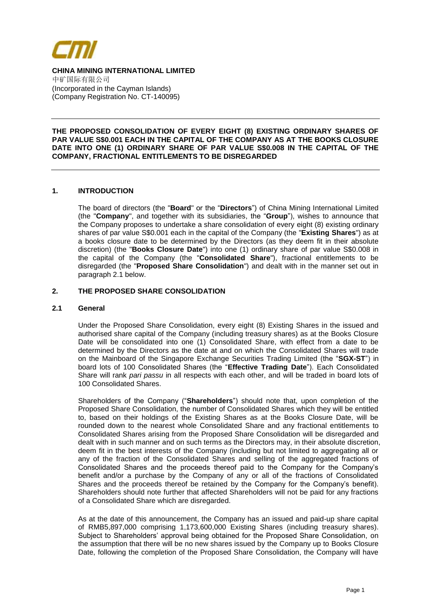

# **CHINA MINING INTERNATIONAL LIMITED**

中矿国际有限公司 (Incorporated in the Cayman Islands) (Company Registration No. CT-140095)

## **THE PROPOSED CONSOLIDATION OF EVERY EIGHT (8) EXISTING ORDINARY SHARES OF PAR VALUE S\$0.001 EACH IN THE CAPITAL OF THE COMPANY AS AT THE BOOKS CLOSURE DATE INTO ONE (1) ORDINARY SHARE OF PAR VALUE S\$0.008 IN THE CAPITAL OF THE COMPANY, FRACTIONAL ENTITLEMENTS TO BE DISREGARDED**

## **1. INTRODUCTION**

The board of directors (the "**Board**" or the "**Directors**") of China Mining International Limited (the "**Company**", and together with its subsidiaries, the "**Group**"), wishes to announce that the Company proposes to undertake a share consolidation of every eight (8) existing ordinary shares of par value S\$0.001 each in the capital of the Company (the "**Existing Shares**") as at a books closure date to be determined by the Directors (as they deem fit in their absolute discretion) (the "**Books Closure Date**") into one (1) ordinary share of par value S\$0.008 in the capital of the Company (the "**Consolidated Share**"), fractional entitlements to be disregarded (the "**Proposed Share Consolidation**") and dealt with in the manner set out in paragraph 2.1 below.

## **2. THE PROPOSED SHARE CONSOLIDATION**

## **2.1 General**

Under the Proposed Share Consolidation, every eight (8) Existing Shares in the issued and authorised share capital of the Company (including treasury shares) as at the Books Closure Date will be consolidated into one (1) Consolidated Share, with effect from a date to be determined by the Directors as the date at and on which the Consolidated Shares will trade on the Mainboard of the Singapore Exchange Securities Trading Limited (the "**SGX-ST**") in board lots of 100 Consolidated Shares (the "**Effective Trading Date**"). Each Consolidated Share will rank *pari passu* in all respects with each other, and will be traded in board lots of 100 Consolidated Shares.

Shareholders of the Company ("**Shareholders**") should note that, upon completion of the Proposed Share Consolidation, the number of Consolidated Shares which they will be entitled to, based on their holdings of the Existing Shares as at the Books Closure Date, will be rounded down to the nearest whole Consolidated Share and any fractional entitlements to Consolidated Shares arising from the Proposed Share Consolidation will be disregarded and dealt with in such manner and on such terms as the Directors may, in their absolute discretion, deem fit in the best interests of the Company (including but not limited to aggregating all or any of the fraction of the Consolidated Shares and selling of the aggregated fractions of Consolidated Shares and the proceeds thereof paid to the Company for the Company's benefit and/or a purchase by the Company of any or all of the fractions of Consolidated Shares and the proceeds thereof be retained by the Company for the Company's benefit). Shareholders should note further that affected Shareholders will not be paid for any fractions of a Consolidated Share which are disregarded.

As at the date of this announcement, the Company has an issued and paid-up share capital of RMB5,897,000 comprising 1,173,600,000 Existing Shares (including treasury shares). Subject to Shareholders' approval being obtained for the Proposed Share Consolidation, on the assumption that there will be no new shares issued by the Company up to Books Closure Date, following the completion of the Proposed Share Consolidation, the Company will have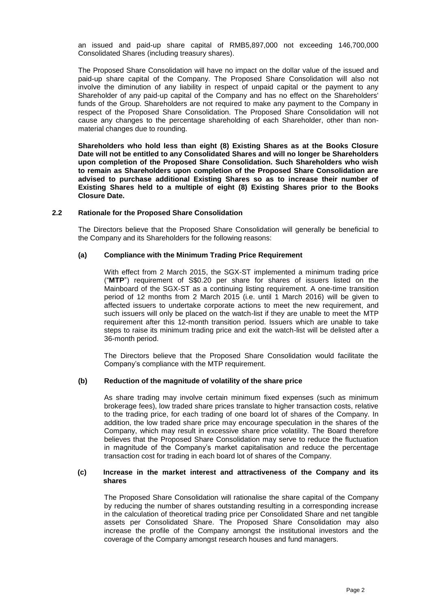an issued and paid-up share capital of RMB5,897,000 not exceeding 146,700,000 Consolidated Shares (including treasury shares).

The Proposed Share Consolidation will have no impact on the dollar value of the issued and paid-up share capital of the Company. The Proposed Share Consolidation will also not involve the diminution of any liability in respect of unpaid capital or the payment to any Shareholder of any paid-up capital of the Company and has no effect on the Shareholders' funds of the Group. Shareholders are not required to make any payment to the Company in respect of the Proposed Share Consolidation. The Proposed Share Consolidation will not cause any changes to the percentage shareholding of each Shareholder, other than nonmaterial changes due to rounding.

**Shareholders who hold less than eight (8) Existing Shares as at the Books Closure Date will not be entitled to any Consolidated Shares and will no longer be Shareholders upon completion of the Proposed Share Consolidation. Such Shareholders who wish to remain as Shareholders upon completion of the Proposed Share Consolidation are advised to purchase additional Existing Shares so as to increase their number of Existing Shares held to a multiple of eight (8) Existing Shares prior to the Books Closure Date.**

## **2.2 Rationale for the Proposed Share Consolidation**

The Directors believe that the Proposed Share Consolidation will generally be beneficial to the Company and its Shareholders for the following reasons:

#### **(a) Compliance with the Minimum Trading Price Requirement**

With effect from 2 March 2015, the SGX-ST implemented a minimum trading price ("**MTP**") requirement of S\$0.20 per share for shares of issuers listed on the Mainboard of the SGX-ST as a continuing listing requirement. A one-time transition period of 12 months from 2 March 2015 (i.e. until 1 March 2016) will be given to affected issuers to undertake corporate actions to meet the new requirement, and such issuers will only be placed on the watch-list if they are unable to meet the MTP requirement after this 12-month transition period. Issuers which are unable to take steps to raise its minimum trading price and exit the watch-list will be delisted after a 36-month period.

The Directors believe that the Proposed Share Consolidation would facilitate the Company's compliance with the MTP requirement.

## **(b) Reduction of the magnitude of volatility of the share price**

As share trading may involve certain minimum fixed expenses (such as minimum brokerage fees), low traded share prices translate to higher transaction costs, relative to the trading price, for each trading of one board lot of shares of the Company. In addition, the low traded share price may encourage speculation in the shares of the Company, which may result in excessive share price volatility. The Board therefore believes that the Proposed Share Consolidation may serve to reduce the fluctuation in magnitude of the Company's market capitalisation and reduce the percentage transaction cost for trading in each board lot of shares of the Company.

### **(c) Increase in the market interest and attractiveness of the Company and its shares**

The Proposed Share Consolidation will rationalise the share capital of the Company by reducing the number of shares outstanding resulting in a corresponding increase in the calculation of theoretical trading price per Consolidated Share and net tangible assets per Consolidated Share. The Proposed Share Consolidation may also increase the profile of the Company amongst the institutional investors and the coverage of the Company amongst research houses and fund managers.